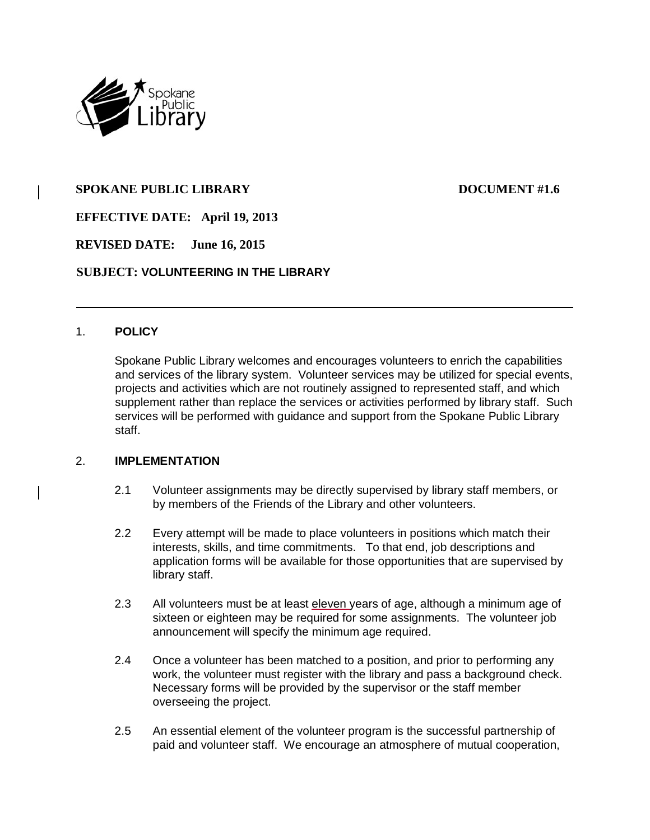

# **SPOKANE PUBLIC LIBRARY DOCUMENT #1.6**

**EFFECTIVE DATE: April 19, 2013**

**REVISED DATE: June 16, 2015**

## **SUBJECT: VOLUNTEERING IN THE LIBRARY**

#### 1. **POLICY**

Spokane Public Library welcomes and encourages volunteers to enrich the capabilities and services of the library system. Volunteer services may be utilized for special events, projects and activities which are not routinely assigned to represented staff, and which supplement rather than replace the services or activities performed by library staff. Such services will be performed with guidance and support from the Spokane Public Library staff.

### 2. **IMPLEMENTATION**

- 2.1 Volunteer assignments may be directly supervised by library staff members, or by members of the Friends of the Library and other volunteers.
- 2.2 Every attempt will be made to place volunteers in positions which match their interests, skills, and time commitments. To that end, job descriptions and application forms will be available for those opportunities that are supervised by library staff.
- 2.3 All volunteers must be at least eleven years of age, although a minimum age of sixteen or eighteen may be required for some assignments. The volunteer job announcement will specify the minimum age required.
- 2.4 Once a volunteer has been matched to a position, and prior to performing any work, the volunteer must register with the library and pass a background check. Necessary forms will be provided by the supervisor or the staff member overseeing the project.
- 2.5 An essential element of the volunteer program is the successful partnership of paid and volunteer staff. We encourage an atmosphere of mutual cooperation,